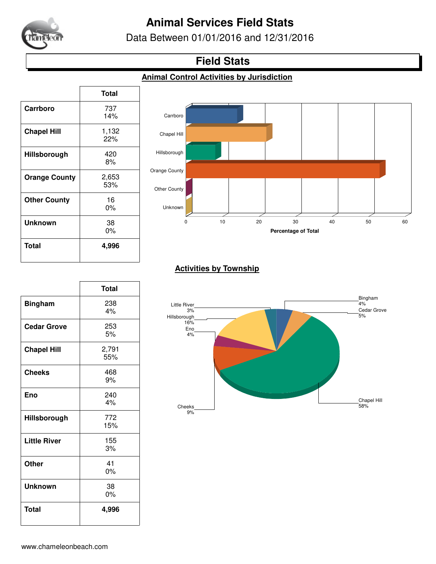

# **Animal Services Field Stats**

Data Between 01/01/2016 and 12/31/2016

## **Field Stats**

### **Animal Control Activities by Jurisdiction**

|                      | <b>Total</b> |
|----------------------|--------------|
| Carrboro             | 737<br>14%   |
| <b>Chapel Hill</b>   | 1,132<br>22% |
| Hillsborough         | 420<br>8%    |
| <b>Orange County</b> | 2,653<br>53% |
| <b>Other County</b>  | 16<br>0%     |
| <b>Unknown</b>       | 38<br>0%     |
| Total                | 4,996        |



### **Activities by Township**

|                     | <b>Total</b> |
|---------------------|--------------|
| <b>Bingham</b>      | 238<br>4%    |
| <b>Cedar Grove</b>  | 253<br>5%    |
| <b>Chapel Hill</b>  | 2,791<br>55% |
| <b>Cheeks</b>       | 468<br>9%    |
| Eno                 | 240<br>4%    |
| Hillsborough        | 772<br>15%   |
| <b>Little River</b> | 155<br>3%    |
| <b>Other</b>        | 41<br>0%     |
| Unknown             | 38<br>$0\%$  |
| <b>Total</b>        | 4,996        |

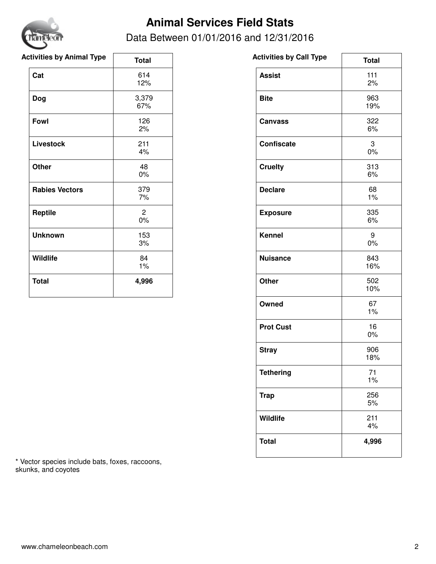

# **Animal Services Field Stats**

### Data Between 01/01/2016 and 12/31/2016

| <b>Activities by Animal Type</b> | <b>Total</b>            | <b>Activities by Call Type</b> |
|----------------------------------|-------------------------|--------------------------------|
| Cat                              | 614<br>12%              | <b>Assist</b>                  |
| <b>Dog</b>                       | 3,379<br>67%            | <b>Bite</b>                    |
| Fowl                             | 126<br>2%               | <b>Canvass</b>                 |
| <b>Livestock</b>                 | 211<br>4%               | <b>Confiscate</b>              |
| <b>Other</b>                     | 48<br>$0\%$             | <b>Cruelty</b>                 |
| <b>Rabies Vectors</b>            | 379<br>7%               | <b>Declare</b>                 |
| <b>Reptile</b>                   | $\overline{2}$<br>$0\%$ | <b>Exposure</b>                |
| <b>Unknown</b>                   | 153<br>3%               | <b>Kennel</b>                  |
| Wildlife                         | 84<br>1%                | <b>Nuisance</b>                |
| <b>Total</b>                     | 4,996                   | Other                          |
|                                  |                         |                                |

| Activities by Call Type | <b>Total</b> |
|-------------------------|--------------|
| <b>Assist</b>           | 111<br>2%    |
| <b>Bite</b>             | 963<br>19%   |
| <b>Canvass</b>          | 322<br>6%    |
| Confiscate              | 3<br>0%      |
| <b>Cruelty</b>          | 313<br>6%    |
| <b>Declare</b>          | 68<br>1%     |
| <b>Exposure</b>         | 335<br>6%    |
| <b>Kennel</b>           | 9<br>0%      |
| <b>Nuisance</b>         | 843<br>16%   |
| <b>Other</b>            | 502<br>10%   |
| Owned                   | 67<br>1%     |
| <b>Prot Cust</b>        | 16<br>0%     |
| <b>Stray</b>            | 906<br>18%   |
| <b>Tethering</b>        | 71<br>1%     |
| <b>Trap</b>             | 256<br>5%    |
| <b>Wildlife</b>         | 211<br>4%    |
| <b>Total</b>            | 4,996        |

 $\overline{\phantom{0}}$ 

\* Vector species include bats, foxes, raccoons, skunks, and coyotes